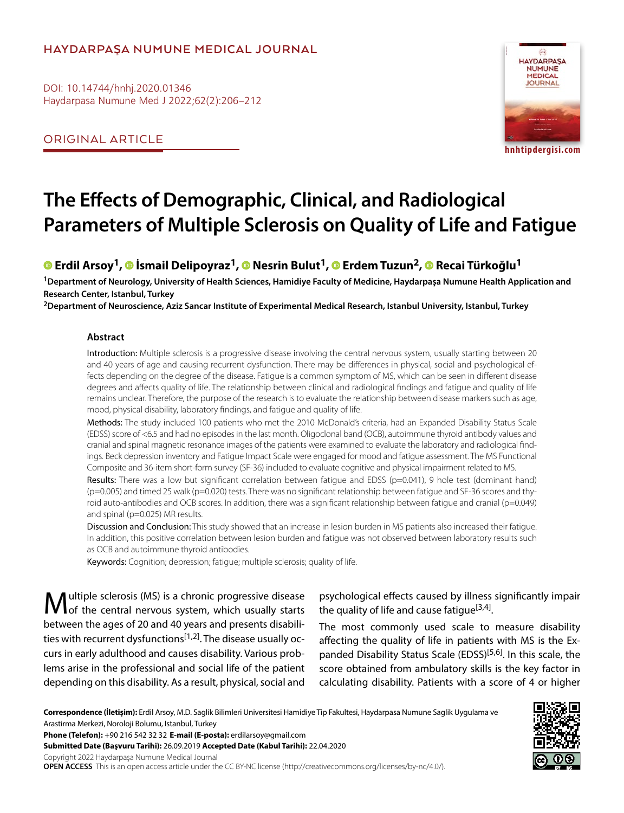# **HAYDARPAŞA NUMUNE MEDICAL JOURNAL**

DOI: 10.14744/hnhj.2020.01346 Haydarpasa Numune Med J 2022;62(2):206–212

ORIGINAL ARTICLE



# **The Effects of Demographic, Clinical, and Radiological Parameters of Multiple Sclerosis on Quality of Life and Fatigue**

# **©** Erdil Arsoy<sup>1</sup>, © İsmail Delipoyraz<sup>1</sup>, © Nesrin Bulut<sup>1</sup>, © Erdem Tuzun<sup>2</sup>, © Recai Türkoğlu<sup>1</sup>

**1Department of Neurology, University of Health Sciences, Hamidiye Faculty of Medicine, Haydarpaşa Numune Health Application and Research Center, Istanbul, Turkey**

**2Department of Neuroscience, Aziz Sancar Institute of Experimental Medical Research, Istanbul University, Istanbul, Turkey**

#### **Abstract**

Introduction: Multiple sclerosis is a progressive disease involving the central nervous system, usually starting between 20 and 40 years of age and causing recurrent dysfunction. There may be differences in physical, social and psychological effects depending on the degree of the disease. Fatigue is a common symptom of MS, which can be seen in different disease degrees and affects quality of life. The relationship between clinical and radiological findings and fatigue and quality of life remains unclear. Therefore, the purpose of the research is to evaluate the relationship between disease markers such as age, mood, physical disability, laboratory findings, and fatigue and quality of life.

Methods: The study included 100 patients who met the 2010 McDonald's criteria, had an Expanded Disability Status Scale (EDSS) score of <6.5 and had no episodes in the last month. Oligoclonal band (OCB), autoimmune thyroid antibody values and cranial and spinal magnetic resonance images of the patients were examined to evaluate the laboratory and radiological findings. Beck depression inventory and Fatigue Impact Scale were engaged for mood and fatigue assessment. The MS Functional Composite and 36-item short-form survey (SF-36) included to evaluate cognitive and physical impairment related to MS.

Results: There was a low but significant correlation between fatigue and EDSS (p=0.041), 9 hole test (dominant hand) (p=0.005) and timed 25 walk (p=0.020) tests. There was no significant relationship between fatigue and SF-36 scores and thyroid auto-antibodies and OCB scores. In addition, there was a significant relationship between fatigue and cranial (p=0.049) and spinal (p=0.025) MR results.

Discussion and Conclusion: This study showed that an increase in lesion burden in MS patients also increased their fatigue. In addition, this positive correlation between lesion burden and fatigue was not observed between laboratory results such as OCB and autoimmune thyroid antibodies.

Keywords: Cognition; depression; fatigue; multiple sclerosis; quality of life.

Multiple sclerosis (MS) is a chronic progressive disease of the central nervous system, which usually starts between the ages of 20 and 40 years and presents disabilities with recurrent dysfunctions<sup>[1,2]</sup>. The disease usually occurs in early adulthood and causes disability. Various problems arise in the professional and social life of the patient depending on this disability. As a result, physical, social and

psychological effects caused by illness significantly impair the quality of life and cause fatique<sup>[3,4]</sup>.

The most commonly used scale to measure disability affecting the quality of life in patients with MS is the Expanded Disability Status Scale (EDSS)<sup>[5,6]</sup>. In this scale, the score obtained from ambulatory skills is the key factor in calculating disability. Patients with a score of 4 or higher

**Correspondence (İletişim):** Erdil Arsoy, M.D. Saglik Bilimleri Universitesi Hamidiye Tip Fakultesi, Haydarpasa Numune Saglik Uygulama ve Arastirma Merkezi, Noroloji Bolumu, Istanbul, Turkey

**Phone (Telefon):** +90 216 542 32 32 **E-mail (E-posta):** erdilarsoy@gmail.com

**Submitted Date (Başvuru Tarihi):** 26.09.2019 **Accepted Date (Kabul Tarihi):** 22.04.2020

Copyright 2022 Haydarpaşa Numune Medical Journal

**OPEN ACCESS** This is an open access article under the CC BY-NC license (http://creativecommons.org/licenses/by-nc/4.0/).

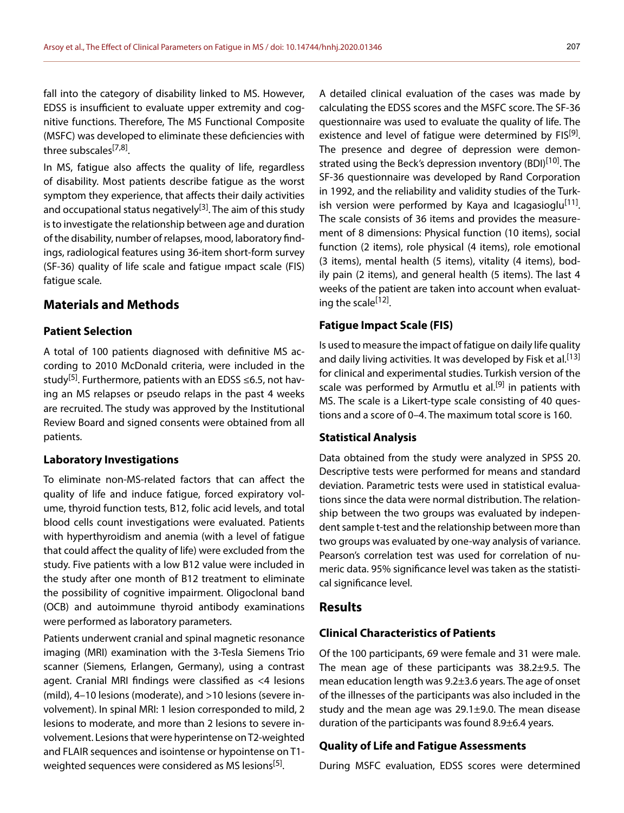fall into the category of disability linked to MS. However, EDSS is insufficient to evaluate upper extremity and cognitive functions. Therefore, The MS Functional Composite (MSFC) was developed to eliminate these deficiencies with three subscales<sup>[7,8]</sup>.

In MS, fatigue also affects the quality of life, regardless of disability. Most patients describe fatigue as the worst symptom they experience, that affects their daily activities and occupational status negatively<sup>[3]</sup>. The aim of this study is to investigate the relationship between age and duration of the disability, number of relapses, mood, laboratory findings, radiological features using 36-item short-form survey (SF-36) quality of life scale and fatigue ımpact scale (FIS) fatigue scale.

# **Materials and Methods**

### **Patient Selection**

A total of 100 patients diagnosed with definitive MS according to 2010 McDonald criteria, were included in the study<sup>[5]</sup>. Furthermore, patients with an EDSS  $\leq$ 6.5, not having an MS relapses or pseudo relaps in the past 4 weeks are recruited. The study was approved by the Institutional Review Board and signed consents were obtained from all patients.

#### **Laboratory Investigations**

To eliminate non-MS-related factors that can affect the quality of life and induce fatigue, forced expiratory volume, thyroid function tests, B12, folic acid levels, and total blood cells count investigations were evaluated. Patients with hyperthyroidism and anemia (with a level of fatigue that could affect the quality of life) were excluded from the study. Five patients with a low B12 value were included in the study after one month of B12 treatment to eliminate the possibility of cognitive impairment. Oligoclonal band (OCB) and autoimmune thyroid antibody examinations were performed as laboratory parameters.

Patients underwent cranial and spinal magnetic resonance imaging (MRI) examination with the 3-Tesla Siemens Trio scanner (Siemens, Erlangen, Germany), using a contrast agent. Cranial MRI findings were classified as <4 lesions (mild), 4–10 lesions (moderate), and >10 lesions (severe involvement). In spinal MRI: 1 lesion corresponded to mild, 2 lesions to moderate, and more than 2 lesions to severe involvement. Lesions that were hyperintense on T2-weighted and FLAIR sequences and isointense or hypointense on T1 weighted sequences were considered as MS lesions<sup>[5]</sup>.

A detailed clinical evaluation of the cases was made by calculating the EDSS scores and the MSFC score. The SF-36 questionnaire was used to evaluate the quality of life. The existence and level of fatigue were determined by FIS<sup>[9]</sup>. The presence and degree of depression were demonstrated using the Beck's depression inventory (BDI)<sup>[10]</sup>. The SF-36 questionnaire was developed by Rand Corporation in 1992, and the reliability and validity studies of the Turkish version were performed by Kaya and Icagasioglu<sup>[11]</sup>. The scale consists of 36 items and provides the measurement of 8 dimensions: Physical function (10 items), social function (2 items), role physical (4 items), role emotional (3 items), mental health (5 items), vitality (4 items), bodily pain (2 items), and general health (5 items). The last 4 weeks of the patient are taken into account when evaluating the scale<sup>[12]</sup>.

#### **Fatigue Impact Scale (FIS)**

Is used to measure the impact of fatigue on daily life quality and daily living activities. It was developed by Fisk et al.<sup>[13]</sup> for clinical and experimental studies. Turkish version of the scale was performed by Armutlu et al.<sup>[9]</sup> in patients with MS. The scale is a Likert-type scale consisting of 40 questions and a score of 0–4. The maximum total score is 160.

#### **Statistical Analysis**

Data obtained from the study were analyzed in SPSS 20. Descriptive tests were performed for means and standard deviation. Parametric tests were used in statistical evaluations since the data were normal distribution. The relationship between the two groups was evaluated by independent sample t-test and the relationship between more than two groups was evaluated by one-way analysis of variance. Pearson's correlation test was used for correlation of numeric data. 95% significance level was taken as the statistical significance level.

### **Results**

#### **Clinical Characteristics of Patients**

Of the 100 participants, 69 were female and 31 were male. The mean age of these participants was 38.2±9.5. The mean education length was 9.2±3.6 years. The age of onset of the illnesses of the participants was also included in the study and the mean age was 29.1±9.0. The mean disease duration of the participants was found 8.9±6.4 years.

#### **Quality of Life and Fatigue Assessments**

During MSFC evaluation, EDSS scores were determined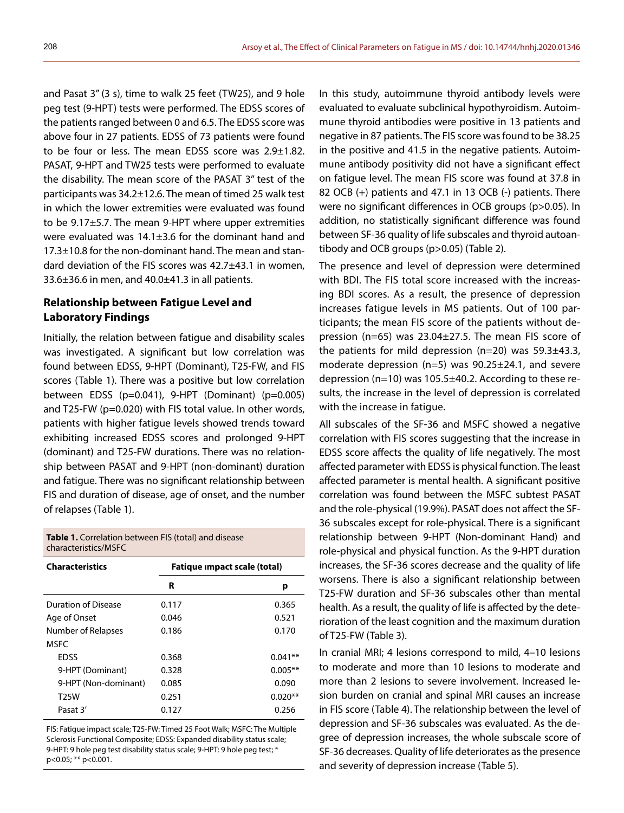and Pasat 3" (3 s), time to walk 25 feet (TW25), and 9 hole peg test (9-HPT) tests were performed. The EDSS scores of the patients ranged between 0 and 6.5. The EDSS score was above four in 27 patients. EDSS of 73 patients were found to be four or less. The mean EDSS score was  $2.9\pm1.82$ . PASAT, 9-HPT and TW25 tests were performed to evaluate the disability. The mean score of the PASAT 3" test of the participants was 34.2±12.6. The mean of timed 25 walk test in which the lower extremities were evaluated was found to be 9.17±5.7. The mean 9-HPT where upper extremities were evaluated was 14.1±3.6 for the dominant hand and 17.3±10.8 for the non-dominant hand. The mean and standard deviation of the FIS scores was 42.7±43.1 in women,  $33.6\pm36.6$  in men, and  $40.0\pm41.3$  in all patients.

## **Relationship between Fatigue Level and Laboratory Findings**

Initially, the relation between fatigue and disability scales was investigated. A significant but low correlation was found between EDSS, 9-HPT (Dominant), T25-FW, and FIS scores (Table 1). There was a positive but low correlation between EDSS (p=0.041), 9-HPT (Dominant) (p=0.005) and T25-FW (p=0.020) with FIS total value. In other words, patients with higher fatigue levels showed trends toward exhibiting increased EDSS scores and prolonged 9-HPT (dominant) and T25-FW durations. There was no relationship between PASAT and 9-HPT (non-dominant) duration and fatigue. There was no significant relationship between FIS and duration of disease, age of onset, and the number of relapses (Table 1).

**Table 1.** Correlation between FIS (total) and disease characteristics/MSFC

| <b>Characteristics</b> | Fatique impact scale (total) |           |  |
|------------------------|------------------------------|-----------|--|
|                        | R                            | р         |  |
| Duration of Disease    | 0.117                        | 0.365     |  |
| Age of Onset           | 0.046                        | 0.521     |  |
| Number of Relapses     | 0.186                        | 0.170     |  |
| <b>MSFC</b>            |                              |           |  |
| <b>EDSS</b>            | 0.368                        | $0.041**$ |  |
| 9-HPT (Dominant)       | 0.328                        | $0.005**$ |  |
| 9-HPT (Non-dominant)   | 0.085                        | 0.090     |  |
| T <sub>25</sub> W      | 0.251                        | $0.020**$ |  |
| Pasat 3'               | 0.127                        | 0.256     |  |

FIS: Fatigue impact scale; T25-FW: Timed 25 Foot Walk; MSFC: The Multiple Sclerosis Functional Composite; EDSS: Expanded disability status scale; 9-HPT: 9 hole peg test disability status scale; 9-HPT: 9 hole peg test; \* p<0.05; \*\* p<0.001.

In this study, autoimmune thyroid antibody levels were evaluated to evaluate subclinical hypothyroidism. Autoimmune thyroid antibodies were positive in 13 patients and negative in 87 patients. The FIS score was found to be 38.25 in the positive and 41.5 in the negative patients. Autoimmune antibody positivity did not have a significant effect on fatigue level. The mean FIS score was found at 37.8 in 82 OCB (+) patients and 47.1 in 13 OCB (-) patients. There were no significant differences in OCB groups (p>0.05). In addition, no statistically significant difference was found between SF-36 quality of life subscales and thyroid autoantibody and OCB groups (p>0.05) (Table 2).

The presence and level of depression were determined with BDI. The FIS total score increased with the increasing BDI scores. As a result, the presence of depression increases fatigue levels in MS patients. Out of 100 participants; the mean FIS score of the patients without depression (n=65) was 23.04±27.5. The mean FIS score of the patients for mild depression (n=20) was 59.3±43.3, moderate depression ( $n=5$ ) was 90.25 $\pm$ 24.1, and severe depression (n=10) was 105.5±40.2. According to these results, the increase in the level of depression is correlated with the increase in fatigue.

All subscales of the SF-36 and MSFC showed a negative correlation with FIS scores suggesting that the increase in EDSS score affects the quality of life negatively. The most affected parameter with EDSS is physical function. The least affected parameter is mental health. A significant positive correlation was found between the MSFC subtest PASAT and the role-physical (19.9%). PASAT does not affect the SF-36 subscales except for role-physical. There is a significant relationship between 9-HPT (Non-dominant Hand) and role-physical and physical function. As the 9-HPT duration increases, the SF-36 scores decrease and the quality of life worsens. There is also a significant relationship between T25-FW duration and SF-36 subscales other than mental health. As a result, the quality of life is affected by the deterioration of the least cognition and the maximum duration of T25-FW (Table 3).

In cranial MRI; 4 lesions correspond to mild, 4–10 lesions to moderate and more than 10 lesions to moderate and more than 2 lesions to severe involvement. Increased lesion burden on cranial and spinal MRI causes an increase in FIS score (Table 4). The relationship between the level of depression and SF-36 subscales was evaluated. As the degree of depression increases, the whole subscale score of SF-36 decreases. Quality of life deteriorates as the presence and severity of depression increase (Table 5).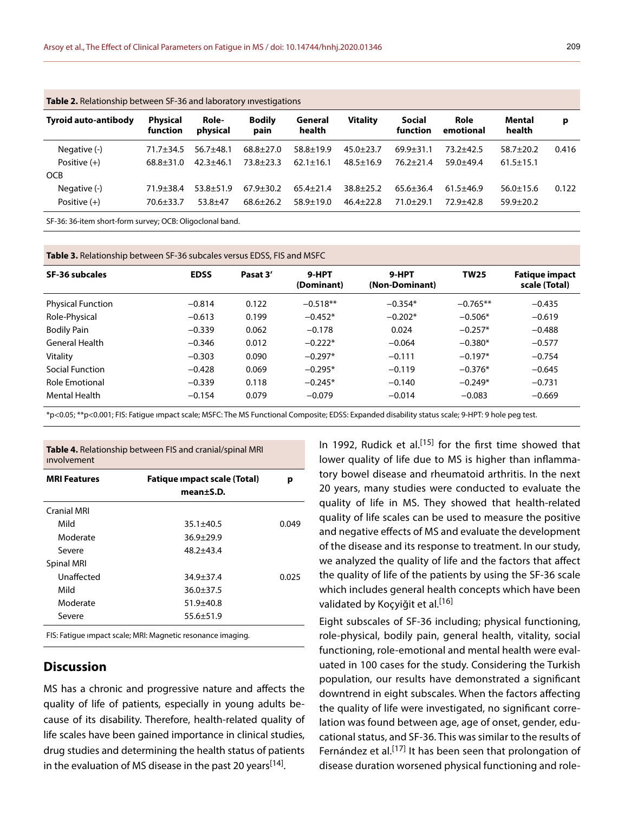| <b>Table 2.</b> Relationship between SF-36 and laboratory investigations |                                    |                                |                                |                                    |                                    |                                  |                                |                                  |       |
|--------------------------------------------------------------------------|------------------------------------|--------------------------------|--------------------------------|------------------------------------|------------------------------------|----------------------------------|--------------------------------|----------------------------------|-------|
| <b>Tyroid auto-antibody</b>                                              | <b>Physical</b><br><b>function</b> | Role-<br>physical              | <b>Bodily</b><br>pain          | General<br>health                  | <b>Vitality</b>                    | <b>Social</b><br>function        | Role<br>emotional              | Mental<br>health                 | p     |
| Negative (-)<br>Positive $(+)$                                           | $71.7 + 34.5$<br>$68.8 + 31.0$     | $56.7 + 48.1$<br>$42.3 + 46.1$ | $68.8 + 27.0$<br>$73.8 + 23.3$ | $58.8 \pm 19.9$<br>$62.1 \pm 16.1$ | $45.0 \pm 23.7$<br>$48.5 \pm 16.9$ | $69.9 \pm 31.1$<br>$76.2 + 21.4$ | $73.2 + 42.5$<br>$59.0 + 49.4$ | $58.7 + 20.2$<br>$61.5 \pm 15.1$ | 0.416 |
| <b>OCB</b>                                                               |                                    |                                |                                |                                    |                                    |                                  |                                |                                  |       |
| Negative (-)                                                             | $71.9 \pm 38.4$                    | $53.8 + 51.9$                  | $67.9 \pm 30.2$                | $65.4 \pm 21.4$                    | $38.8 + 25.2$                      | $65.6 + 36.4$                    | $61.5 + 46.9$                  | $56.0 \pm 15.6$                  | 0.122 |
| Positive $(+)$                                                           | $70.6 \pm 33.7$                    | $53.8 + 47$                    | $68.6 \pm 26.2$                | $58.9 \pm 19.0$                    | $46.4+22.8$                        | $71.0 + 29.1$                    | $72.9 + 42.8$                  | $59.9 \pm 20.2$                  |       |
|                                                                          |                                    |                                |                                |                                    |                                    |                                  |                                |                                  |       |

SF-36: 36-item short-form survey; OCB: Oligoclonal band.

**Table 3.** Relationship between SF-36 subcales versus EDSS, FIS and MSFC

| SF-36 subcales           | <b>EDSS</b> | Pasat 3' | 9-HPT<br>(Dominant) | 9-HPT<br>(Non-Dominant) | <b>TW25</b> | <b>Fatique impact</b><br>scale (Total) |
|--------------------------|-------------|----------|---------------------|-------------------------|-------------|----------------------------------------|
| <b>Physical Function</b> | $-0.814$    | 0.122    | $-0.518**$          | $-0.354*$               | $-0.765**$  | $-0.435$                               |
| Role-Physical            | $-0.613$    | 0.199    | $-0.452*$           | $-0.202*$               | $-0.506*$   | $-0.619$                               |
| <b>Bodily Pain</b>       | $-0.339$    | 0.062    | $-0.178$            | 0.024                   | $-0.257*$   | $-0.488$                               |
| <b>General Health</b>    | $-0.346$    | 0.012    | $-0.222*$           | $-0.064$                | $-0.380*$   | $-0.577$                               |
| Vitality                 | $-0.303$    | 0.090    | $-0.297*$           | $-0.111$                | $-0.197*$   | $-0.754$                               |
| Social Function          | $-0.428$    | 0.069    | $-0.295*$           | $-0.119$                | $-0.376*$   | $-0.645$                               |
| <b>Role Emotional</b>    | $-0.339$    | 0.118    | $-0.245*$           | $-0.140$                | $-0.249*$   | $-0.731$                               |
| <b>Mental Health</b>     | $-0.154$    | 0.079    | $-0.079$            | $-0.014$                | $-0.083$    | $-0.669$                               |

\*p<0.05; \*\*p<0.001; FIS: Fatigue ımpact scale; MSFC: The MS Functional Composite; EDSS: Expanded disability status scale; 9-HPT: 9 hole peg test.

**Table 4.** Relationship between FIS and cranial/spinal MRI ınvolvement

| <b>MRI Features</b> | Fatique impact scale (Total)<br>mean <sub>±</sub> S.D. | р     |
|---------------------|--------------------------------------------------------|-------|
| <b>Cranial MRI</b>  |                                                        |       |
| Mild                | $35.1 \pm 40.5$                                        | 0.049 |
| Moderate            | $36.9 + 29.9$                                          |       |
| Severe              | $48.2 + 43.4$                                          |       |
| <b>Spinal MRI</b>   |                                                        |       |
| Unaffected          | $34.9 + 37.4$                                          | 0.025 |
| Mild                | $36.0 + 37.5$                                          |       |
| Moderate            | $51.9 + 40.8$                                          |       |
| Severe              | $55.6 \pm 51.9$                                        |       |
|                     |                                                        |       |

FIS: Fatigue ımpact scale; MRI: Magnetic resonance imaging.

#### **Discussion**

MS has a chronic and progressive nature and affects the quality of life of patients, especially in young adults because of its disability. Therefore, health-related quality of life scales have been gained importance in clinical studies, drug studies and determining the health status of patients in the evaluation of MS disease in the past 20 years  $[14]$ .

In 1992, Rudick et al.<sup>[15]</sup> for the first time showed that lower quality of life due to MS is higher than inflammatory bowel disease and rheumatoid arthritis. In the next 20 years, many studies were conducted to evaluate the quality of life in MS. They showed that health-related quality of life scales can be used to measure the positive and negative effects of MS and evaluate the development of the disease and its response to treatment. In our study, we analyzed the quality of life and the factors that affect the quality of life of the patients by using the SF-36 scale which includes general health concepts which have been validated by Koçyiğit et al.<sup>[16]</sup>

Eight subscales of SF-36 including; physical functioning, role-physical, bodily pain, general health, vitality, social functioning, role-emotional and mental health were evaluated in 100 cases for the study. Considering the Turkish population, our results have demonstrated a significant downtrend in eight subscales. When the factors affecting the quality of life were investigated, no significant correlation was found between age, age of onset, gender, educational status, and SF-36. This was similar to the results of Fernández et al.<sup>[17]</sup> It has been seen that prolongation of disease duration worsened physical functioning and role-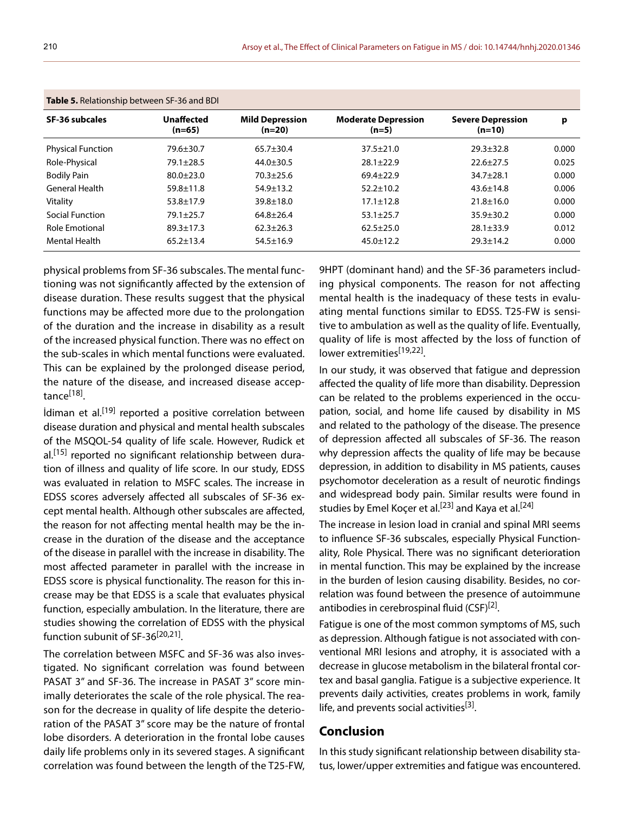| Table 5. Relationship between SF-36 and BDI |                        |                                    |                                       |                                      |       |  |  |  |
|---------------------------------------------|------------------------|------------------------------------|---------------------------------------|--------------------------------------|-------|--|--|--|
| <b>SF-36 subcales</b>                       | Unaffected<br>$(n=65)$ | <b>Mild Depression</b><br>$(n=20)$ | <b>Moderate Depression</b><br>$(n=5)$ | <b>Severe Depression</b><br>$(n=10)$ | р     |  |  |  |
| <b>Physical Function</b>                    | $79.6 \pm 30.7$        | $65.7 + 30.4$                      | $37.5 \pm 21.0$                       | $29.3 \pm 32.8$                      | 0.000 |  |  |  |
| Role-Physical                               | $79.1 \pm 28.5$        | $44.0 \pm 30.5$                    | $28.1 \pm 22.9$                       | $22.6 \pm 27.5$                      | 0.025 |  |  |  |
| <b>Bodily Pain</b>                          | $80.0 + 23.0$          | $70.3 + 25.6$                      | $69.4 + 22.9$                         | $34.7 + 28.1$                        | 0.000 |  |  |  |
| <b>General Health</b>                       | $59.8 \pm 11.8$        | $54.9 \pm 13.2$                    | $52.2 \pm 10.2$                       | $43.6 \pm 14.8$                      | 0.006 |  |  |  |
| Vitality                                    | $53.8 \pm 17.9$        | $39.8 \pm 18.0$                    | $17.1 \pm 12.8$                       | $21.8 \pm 16.0$                      | 0.000 |  |  |  |
| <b>Social Function</b>                      | $79.1 \pm 25.7$        | $64.8 + 26.4$                      | $53.1 \pm 25.7$                       | $35.9 + 30.2$                        | 0.000 |  |  |  |
| <b>Role Emotional</b>                       | $89.3 \pm 17.3$        | $62.3 + 26.3$                      | $62.5 + 25.0$                         | $28.1 \pm 33.9$                      | 0.012 |  |  |  |
| <b>Mental Health</b>                        | $65.2 \pm 13.4$        | $54.5 \pm 16.9$                    | $45.0 \pm 12.2$                       | $29.3 \pm 14.2$                      | 0.000 |  |  |  |

physical problems from SF-36 subscales. The mental functioning was not significantly affected by the extension of disease duration. These results suggest that the physical functions may be affected more due to the prolongation of the duration and the increase in disability as a result of the increased physical function. There was no effect on the sub-scales in which mental functions were evaluated. This can be explained by the prolonged disease period, the nature of the disease, and increased disease acceptance<sup>[18]</sup>.

İdiman et al.[19] reported a positive correlation between disease duration and physical and mental health subscales of the MSQOL-54 quality of life scale. However, Rudick et al.<sup>[15]</sup> reported no significant relationship between duration of illness and quality of life score. In our study, EDSS was evaluated in relation to MSFC scales. The increase in EDSS scores adversely affected all subscales of SF-36 except mental health. Although other subscales are affected, the reason for not affecting mental health may be the increase in the duration of the disease and the acceptance of the disease in parallel with the increase in disability. The most affected parameter in parallel with the increase in EDSS score is physical functionality. The reason for this increase may be that EDSS is a scale that evaluates physical function, especially ambulation. In the literature, there are studies showing the correlation of EDSS with the physical function subunit of SF-36<sup>[20,21]</sup>.

The correlation between MSFC and SF-36 was also investigated. No significant correlation was found between PASAT 3" and SF-36. The increase in PASAT 3" score minimally deteriorates the scale of the role physical. The reason for the decrease in quality of life despite the deterioration of the PASAT 3" score may be the nature of frontal lobe disorders. A deterioration in the frontal lobe causes daily life problems only in its severed stages. A significant correlation was found between the length of the T25-FW, 9HPT (dominant hand) and the SF-36 parameters including physical components. The reason for not affecting mental health is the inadequacy of these tests in evaluating mental functions similar to EDSS. T25-FW is sensitive to ambulation as well as the quality of life. Eventually, quality of life is most affected by the loss of function of lower extremities<sup>[19,22]</sup>.

In our study, it was observed that fatigue and depression affected the quality of life more than disability. Depression can be related to the problems experienced in the occupation, social, and home life caused by disability in MS and related to the pathology of the disease. The presence of depression affected all subscales of SF-36. The reason why depression affects the quality of life may be because depression, in addition to disability in MS patients, causes psychomotor deceleration as a result of neurotic findings and widespread body pain. Similar results were found in studies by Emel Koçer et al.<sup>[23]</sup> and Kaya et al.<sup>[24]</sup>

The increase in lesion load in cranial and spinal MRI seems to influence SF-36 subscales, especially Physical Functionality, Role Physical. There was no significant deterioration in mental function. This may be explained by the increase in the burden of lesion causing disability. Besides, no correlation was found between the presence of autoimmune antibodies in cerebrospinal fluid (CSF)<sup>[2]</sup>.

Fatigue is one of the most common symptoms of MS, such as depression. Although fatigue is not associated with conventional MRI lesions and atrophy, it is associated with a decrease in glucose metabolism in the bilateral frontal cortex and basal ganglia. Fatigue is a subjective experience. It prevents daily activities, creates problems in work, family life, and prevents social activities<sup>[3]</sup>.

# **Conclusion**

In this study significant relationship between disability status, lower/upper extremities and fatigue was encountered.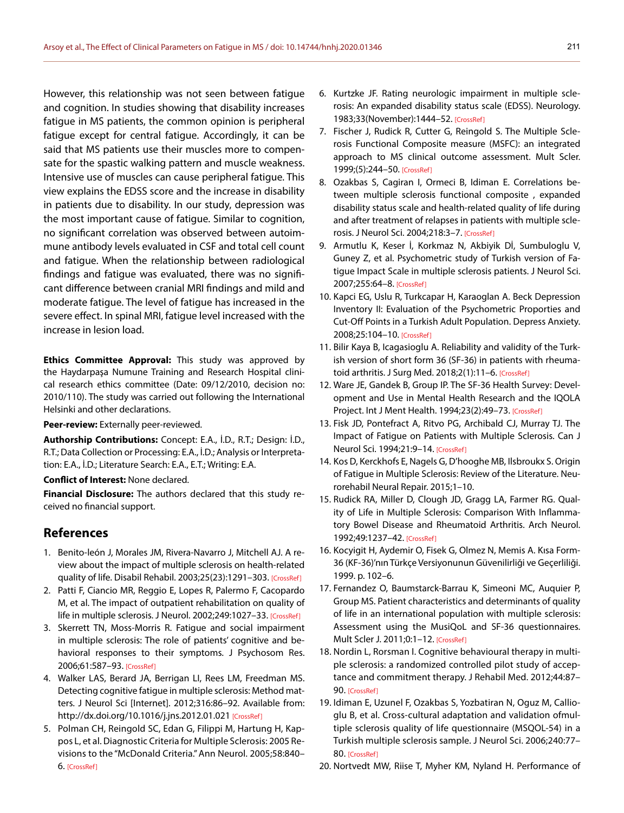However, this relationship was not seen between fatigue and cognition. In studies showing that disability increases fatigue in MS patients, the common opinion is peripheral fatigue except for central fatigue. Accordingly, it can be said that MS patients use their muscles more to compensate for the spastic walking pattern and muscle weakness. Intensive use of muscles can cause peripheral fatigue. This view explains the EDSS score and the increase in disability in patients due to disability. In our study, depression was the most important cause of fatigue. Similar to cognition, no significant correlation was observed between autoimmune antibody levels evaluated in CSF and total cell count and fatigue. When the relationship between radiological findings and fatigue was evaluated, there was no significant difference between cranial MRI findings and mild and moderate fatigue. The level of fatigue has increased in the severe effect. In spinal MRI, fatigue level increased with the increase in lesion load.

**Ethics Committee Approval:** This study was approved by the Haydarpaşa Numune Training and Research Hospital clinical research ethics committee (Date: 09/12/2010, decision no: 2010/110). The study was carried out following the International Helsinki and other declarations.

**Peer-review:** Externally peer-reviewed.

**Authorship Contributions:** Concept: E.A., İ.D., R.T.; Design: İ.D., R.T.; Data Collection or Processing: E.A., İ.D.; Analysis or Interpretation: E.A., İ.D.; Literature Search: E.A., E.T.; Writing: E.A.

**Conflict of Interest:** None declared.

**Financial Disclosure:** The authors declared that this study received no financial support.

# **References**

- 1. Benito-león J, Morales JM, Rivera-Navarro J, Mitchell AJ. A review about the impact of multiple sclerosis on health-related quality of life. Disabil Rehabil. 2003;25(23):1291–303. [\[CrossRef\]](https://doi.org/10.1080/09638280310001608591)
- 2. Patti F, Ciancio MR, Reggio E, Lopes R, Palermo F, Cacopardo M, et al. The impact of outpatient rehabilitation on quality of life in multiple sclerosis. J Neurol. 2002;249:1027-33. [\[CrossRef\]](https://doi.org/10.1007/s00415-002-0778-1)
- 3. Skerrett TN, Moss-Morris R. Fatigue and social impairment in multiple sclerosis: The role of patients' cognitive and behavioral responses to their symptoms. J Psychosom Res. 2006;61:587–93. [\[CrossRef\]](https://doi.org/10.1016/j.jpsychores.2006.04.018)
- 4. Walker LAS, Berard JA, Berrigan LI, Rees LM, Freedman MS. Detecting cognitive fatigue in multiple sclerosis: Method matters. J Neurol Sci [Internet]. 2012;316:86–92. Available from: http://dx.doi.org/10.1016/j.jns.2012.01.021 [\[CrossRef\]](https://doi.org/10.1016/j.jns.2012.01.021)
- 5. Polman CH, Reingold SC, Edan G, Filippi M, Hartung H, Kappos L, et al. Diagnostic Criteria for Multiple Sclerosis: 2005 Revisions to the "McDonald Criteria." Ann Neurol. 2005;58:840– 6. [\[CrossRef\]](https://doi.org/10.1002/ana.20703)
- 6. Kurtzke JF. Rating neurologic impairment in multiple sclerosis: An expanded disability status scale (EDSS). Neurology. 1983;33(November):1444–52. [\[CrossRef\]](https://doi.org/10.1212/WNL.33.11.1444)
- 7. Fischer J, Rudick R, Cutter G, Reingold S. The Multiple Sclerosis Functional Composite measure (MSFC): an integrated approach to MS clinical outcome assessment. Mult Scler. 1999;(5):244–50. [\[CrossRef\]](https://doi.org/10.1177/135245859900500409)
- 8. Ozakbas S, Cagiran I, Ormeci B, Idiman E. Correlations between multiple sclerosis functional composite , expanded disability status scale and health-related quality of life during and after treatment of relapses in patients with multiple sclerosis. J Neurol Sci. 2004;218:3–7. [\[CrossRef\]](https://doi.org/10.1016/j.jns.2003.09.015)
- 9. Armutlu K, Keser İ, Korkmaz N, Akbiyik Dİ, Sumbuloglu V, Guney Z, et al. Psychometric study of Turkish version of Fatigue Impact Scale in multiple sclerosis patients. J Neurol Sci. 2007;255:64–8. [\[CrossRef\]](https://doi.org/10.1016/j.jns.2007.01.073)
- 10. Kapci EG, Uslu R, Turkcapar H, Karaoglan A. Beck Depression Inventory II: Evaluation of the Psychometric Proporties and Cut-Off Points in a Turkish Adult Population. Depress Anxiety. 2008;25:104–10. [\[CrossRef\]](https://doi.org/10.1002/da.20371)
- 11. Bilir Kaya B, Icagasioglu A. Reliability and validity of the Turkish version of short form 36 (SF-36) in patients with rheuma-toid arthritis. J Surg Med. 2018;2(1):11-6. [\[CrossRef\]](https://doi.org/10.28982/josam.368341)
- 12. Ware JE, Gandek B, Group IP. The SF-36 Health Survey: Development and Use in Mental Health Research and the IQOLA Project. Int J Ment Health. 1994;23(2):49–73. [\[CrossRef\]](https://doi.org/10.1080/00207411.1994.11449283)
- 13. Fisk JD, Pontefract A, Ritvo PG, Archibald CJ, Murray TJ. The Impact of Fatigue on Patients with Multiple Sclerosis. Can J Neurol Sci. 1994;21:9–14. [\[CrossRef\]](https://doi.org/10.1017/S0317167100048691)
- 14. Kos D, Kerckhofs E, Nagels G, D'hooghe MB, Ilsbroukx S. Origin of Fatigue in Multiple Sclerosis: Review of the Literature. Neurorehabil Neural Repair. 2015;1–10.
- 15. Rudick RA, Miller D, Clough JD, Gragg LA, Farmer RG. Quality of Life in Multiple Sclerosis: Comparison With Inflammatory Bowel Disease and Rheumatoid Arthritis. Arch Neurol. 1992;49:1237–42. [\[CrossRef\]](https://doi.org/10.1001/archneur.1992.00530360035014)
- 16. Kocyigit H, Aydemir O, Fisek G, Olmez N, Memis A. Kısa Form-36 (KF-36)'nın Türkçe Versiyonunun Güvenilirliği ve Geçerliliği. 1999. p. 102–6.
- 17. Fernandez O, Baumstarck-Barrau K, Simeoni MC, Auquier P, Group MS. Patient characteristics and determinants of quality of life in an international population with multiple sclerosis: Assessment using the MusiQoL and SF-36 questionnaires. Mult Scler J. 2011;0:1–12. [\[CrossRef\]](https://doi.org/10.1177/1352458511407951)
- 18. Nordin L, Rorsman I. Cognitive behavioural therapy in multiple sclerosis: a randomized controlled pilot study of acceptance and commitment therapy. J Rehabil Med. 2012;44:87– 90. [\[CrossRef\]](https://doi.org/10.2340/16501977-0898)
- 19. Idiman E, Uzunel F, Ozakbas S, Yozbatiran N, Oguz M, Callioglu B, et al. Cross-cultural adaptation and validation ofmultiple sclerosis quality of life questionnaire (MSQOL-54) in a Turkish multiple sclerosis sample. J Neurol Sci. 2006;240:77– 80. [\[CrossRef\]](https://doi.org/10.1016/j.jns.2005.09.009)
- 20. Nortvedt MW, Riise T, Myher KM, Nyland H. Performance of